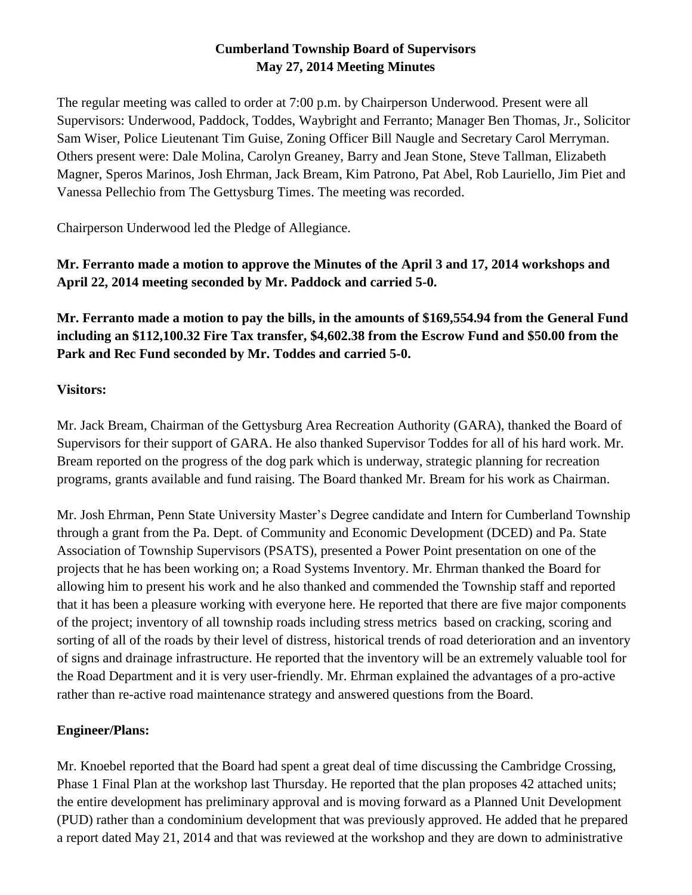# **Cumberland Township Board of Supervisors May 27, 2014 Meeting Minutes**

The regular meeting was called to order at 7:00 p.m. by Chairperson Underwood. Present were all Supervisors: Underwood, Paddock, Toddes, Waybright and Ferranto; Manager Ben Thomas, Jr., Solicitor Sam Wiser, Police Lieutenant Tim Guise, Zoning Officer Bill Naugle and Secretary Carol Merryman. Others present were: Dale Molina, Carolyn Greaney, Barry and Jean Stone, Steve Tallman, Elizabeth Magner, Speros Marinos, Josh Ehrman, Jack Bream, Kim Patrono, Pat Abel, Rob Lauriello, Jim Piet and Vanessa Pellechio from The Gettysburg Times. The meeting was recorded.

Chairperson Underwood led the Pledge of Allegiance.

**Mr. Ferranto made a motion to approve the Minutes of the April 3 and 17, 2014 workshops and April 22, 2014 meeting seconded by Mr. Paddock and carried 5-0.** 

**Mr. Ferranto made a motion to pay the bills, in the amounts of \$169,554.94 from the General Fund including an \$112,100.32 Fire Tax transfer, \$4,602.38 from the Escrow Fund and \$50.00 from the Park and Rec Fund seconded by Mr. Toddes and carried 5-0.**

### **Visitors:**

Mr. Jack Bream, Chairman of the Gettysburg Area Recreation Authority (GARA), thanked the Board of Supervisors for their support of GARA. He also thanked Supervisor Toddes for all of his hard work. Mr. Bream reported on the progress of the dog park which is underway, strategic planning for recreation programs, grants available and fund raising. The Board thanked Mr. Bream for his work as Chairman.

Mr. Josh Ehrman, Penn State University Master's Degree candidate and Intern for Cumberland Township through a grant from the Pa. Dept. of Community and Economic Development (DCED) and Pa. State Association of Township Supervisors (PSATS), presented a Power Point presentation on one of the projects that he has been working on; a Road Systems Inventory. Mr. Ehrman thanked the Board for allowing him to present his work and he also thanked and commended the Township staff and reported that it has been a pleasure working with everyone here. He reported that there are five major components of the project; inventory of all township roads including stress metrics based on cracking, scoring and sorting of all of the roads by their level of distress, historical trends of road deterioration and an inventory of signs and drainage infrastructure. He reported that the inventory will be an extremely valuable tool for the Road Department and it is very user-friendly. Mr. Ehrman explained the advantages of a pro-active rather than re-active road maintenance strategy and answered questions from the Board.

# **Engineer/Plans:**

Mr. Knoebel reported that the Board had spent a great deal of time discussing the Cambridge Crossing, Phase 1 Final Plan at the workshop last Thursday. He reported that the plan proposes 42 attached units; the entire development has preliminary approval and is moving forward as a Planned Unit Development (PUD) rather than a condominium development that was previously approved. He added that he prepared a report dated May 21, 2014 and that was reviewed at the workshop and they are down to administrative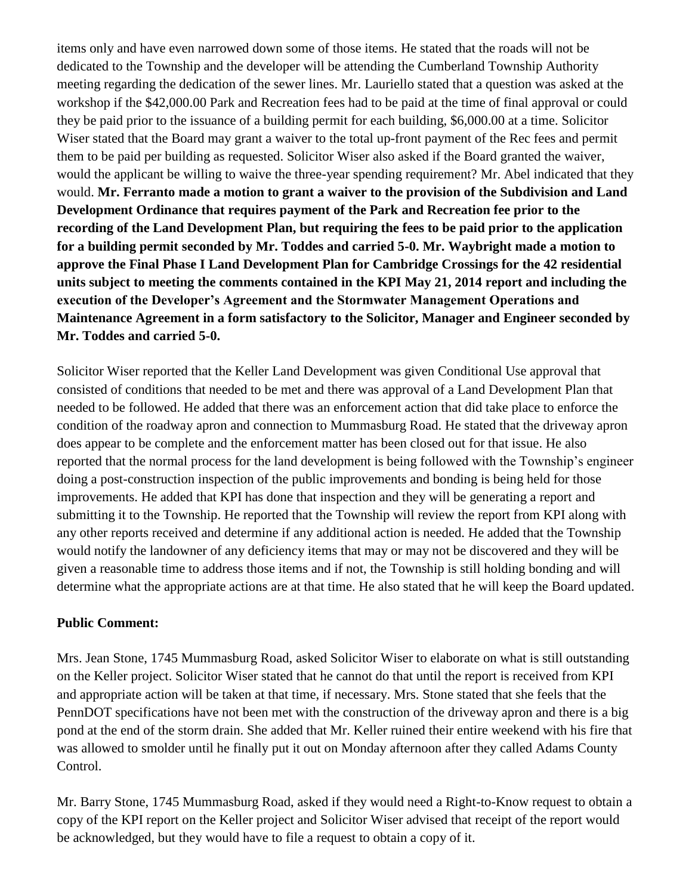items only and have even narrowed down some of those items. He stated that the roads will not be dedicated to the Township and the developer will be attending the Cumberland Township Authority meeting regarding the dedication of the sewer lines. Mr. Lauriello stated that a question was asked at the workshop if the \$42,000.00 Park and Recreation fees had to be paid at the time of final approval or could they be paid prior to the issuance of a building permit for each building, \$6,000.00 at a time. Solicitor Wiser stated that the Board may grant a waiver to the total up-front payment of the Rec fees and permit them to be paid per building as requested. Solicitor Wiser also asked if the Board granted the waiver, would the applicant be willing to waive the three-year spending requirement? Mr. Abel indicated that they would. **Mr. Ferranto made a motion to grant a waiver to the provision of the Subdivision and Land Development Ordinance that requires payment of the Park and Recreation fee prior to the recording of the Land Development Plan, but requiring the fees to be paid prior to the application for a building permit seconded by Mr. Toddes and carried 5-0. Mr. Waybright made a motion to approve the Final Phase I Land Development Plan for Cambridge Crossings for the 42 residential units subject to meeting the comments contained in the KPI May 21, 2014 report and including the execution of the Developer's Agreement and the Stormwater Management Operations and Maintenance Agreement in a form satisfactory to the Solicitor, Manager and Engineer seconded by Mr. Toddes and carried 5-0.**

Solicitor Wiser reported that the Keller Land Development was given Conditional Use approval that consisted of conditions that needed to be met and there was approval of a Land Development Plan that needed to be followed. He added that there was an enforcement action that did take place to enforce the condition of the roadway apron and connection to Mummasburg Road. He stated that the driveway apron does appear to be complete and the enforcement matter has been closed out for that issue. He also reported that the normal process for the land development is being followed with the Township's engineer doing a post-construction inspection of the public improvements and bonding is being held for those improvements. He added that KPI has done that inspection and they will be generating a report and submitting it to the Township. He reported that the Township will review the report from KPI along with any other reports received and determine if any additional action is needed. He added that the Township would notify the landowner of any deficiency items that may or may not be discovered and they will be given a reasonable time to address those items and if not, the Township is still holding bonding and will determine what the appropriate actions are at that time. He also stated that he will keep the Board updated.

#### **Public Comment:**

Mrs. Jean Stone, 1745 Mummasburg Road, asked Solicitor Wiser to elaborate on what is still outstanding on the Keller project. Solicitor Wiser stated that he cannot do that until the report is received from KPI and appropriate action will be taken at that time, if necessary. Mrs. Stone stated that she feels that the PennDOT specifications have not been met with the construction of the driveway apron and there is a big pond at the end of the storm drain. She added that Mr. Keller ruined their entire weekend with his fire that was allowed to smolder until he finally put it out on Monday afternoon after they called Adams County Control.

Mr. Barry Stone, 1745 Mummasburg Road, asked if they would need a Right-to-Know request to obtain a copy of the KPI report on the Keller project and Solicitor Wiser advised that receipt of the report would be acknowledged, but they would have to file a request to obtain a copy of it.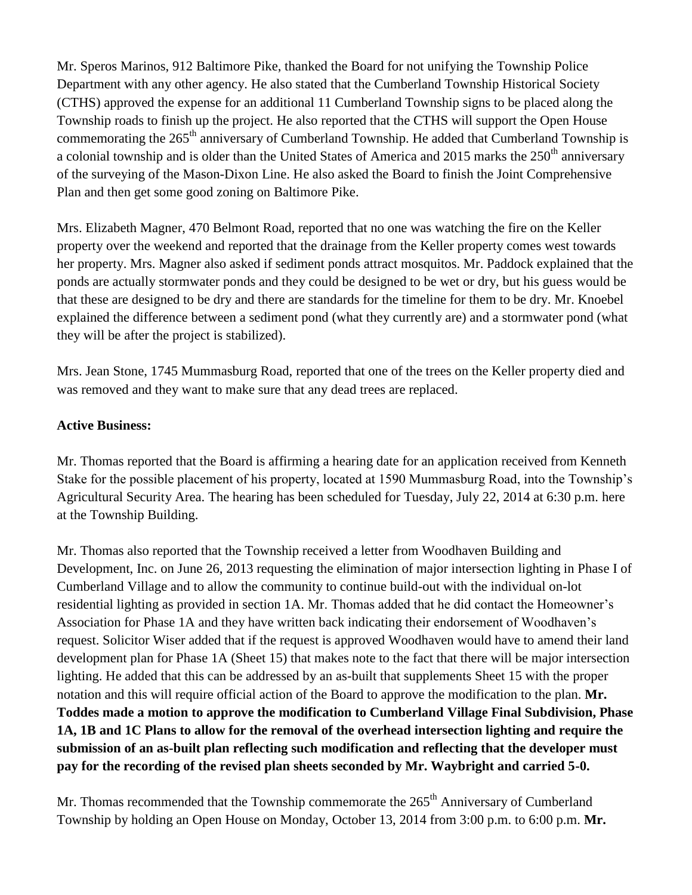Mr. Speros Marinos, 912 Baltimore Pike, thanked the Board for not unifying the Township Police Department with any other agency. He also stated that the Cumberland Township Historical Society (CTHS) approved the expense for an additional 11 Cumberland Township signs to be placed along the Township roads to finish up the project. He also reported that the CTHS will support the Open House commemorating the  $265<sup>th</sup>$  anniversary of Cumberland Township. He added that Cumberland Township is a colonial township and is older than the United States of America and 2015 marks the  $250<sup>th</sup>$  anniversary of the surveying of the Mason-Dixon Line. He also asked the Board to finish the Joint Comprehensive Plan and then get some good zoning on Baltimore Pike.

Mrs. Elizabeth Magner, 470 Belmont Road, reported that no one was watching the fire on the Keller property over the weekend and reported that the drainage from the Keller property comes west towards her property. Mrs. Magner also asked if sediment ponds attract mosquitos. Mr. Paddock explained that the ponds are actually stormwater ponds and they could be designed to be wet or dry, but his guess would be that these are designed to be dry and there are standards for the timeline for them to be dry. Mr. Knoebel explained the difference between a sediment pond (what they currently are) and a stormwater pond (what they will be after the project is stabilized).

Mrs. Jean Stone, 1745 Mummasburg Road, reported that one of the trees on the Keller property died and was removed and they want to make sure that any dead trees are replaced.

#### **Active Business:**

Mr. Thomas reported that the Board is affirming a hearing date for an application received from Kenneth Stake for the possible placement of his property, located at 1590 Mummasburg Road, into the Township's Agricultural Security Area. The hearing has been scheduled for Tuesday, July 22, 2014 at 6:30 p.m. here at the Township Building.

Mr. Thomas also reported that the Township received a letter from Woodhaven Building and Development, Inc. on June 26, 2013 requesting the elimination of major intersection lighting in Phase I of Cumberland Village and to allow the community to continue build-out with the individual on-lot residential lighting as provided in section 1A. Mr. Thomas added that he did contact the Homeowner's Association for Phase 1A and they have written back indicating their endorsement of Woodhaven's request. Solicitor Wiser added that if the request is approved Woodhaven would have to amend their land development plan for Phase 1A (Sheet 15) that makes note to the fact that there will be major intersection lighting. He added that this can be addressed by an as-built that supplements Sheet 15 with the proper notation and this will require official action of the Board to approve the modification to the plan. **Mr. Toddes made a motion to approve the modification to Cumberland Village Final Subdivision, Phase 1A, 1B and 1C Plans to allow for the removal of the overhead intersection lighting and require the submission of an as-built plan reflecting such modification and reflecting that the developer must pay for the recording of the revised plan sheets seconded by Mr. Waybright and carried 5-0.**

Mr. Thomas recommended that the Township commemorate the  $265<sup>th</sup>$  Anniversary of Cumberland Township by holding an Open House on Monday, October 13, 2014 from 3:00 p.m. to 6:00 p.m. **Mr.**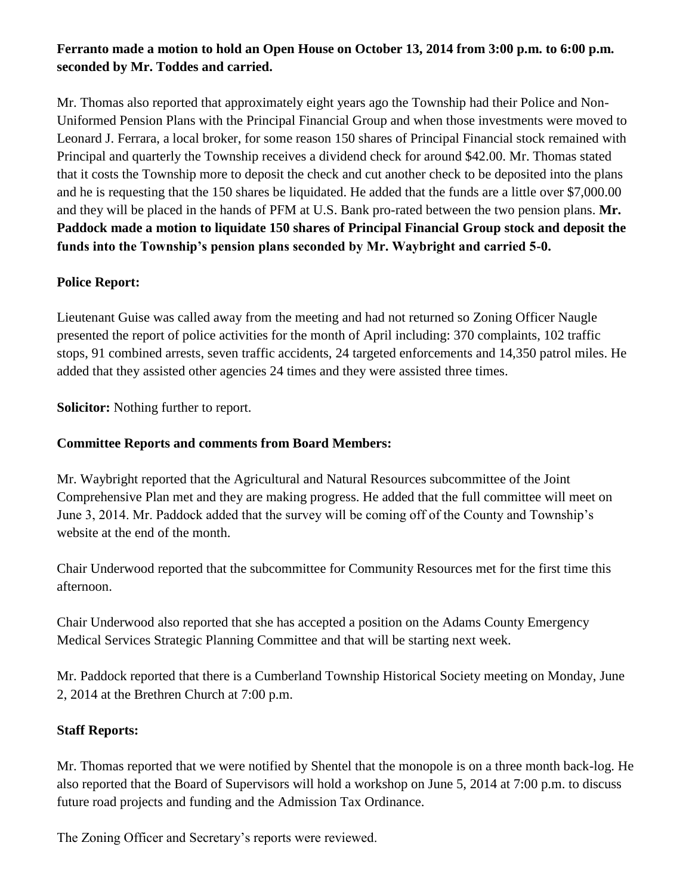# **Ferranto made a motion to hold an Open House on October 13, 2014 from 3:00 p.m. to 6:00 p.m. seconded by Mr. Toddes and carried.**

Mr. Thomas also reported that approximately eight years ago the Township had their Police and Non-Uniformed Pension Plans with the Principal Financial Group and when those investments were moved to Leonard J. Ferrara, a local broker, for some reason 150 shares of Principal Financial stock remained with Principal and quarterly the Township receives a dividend check for around \$42.00. Mr. Thomas stated that it costs the Township more to deposit the check and cut another check to be deposited into the plans and he is requesting that the 150 shares be liquidated. He added that the funds are a little over \$7,000.00 and they will be placed in the hands of PFM at U.S. Bank pro-rated between the two pension plans. **Mr. Paddock made a motion to liquidate 150 shares of Principal Financial Group stock and deposit the funds into the Township's pension plans seconded by Mr. Waybright and carried 5-0.**

### **Police Report:**

Lieutenant Guise was called away from the meeting and had not returned so Zoning Officer Naugle presented the report of police activities for the month of April including: 370 complaints, 102 traffic stops, 91 combined arrests, seven traffic accidents, 24 targeted enforcements and 14,350 patrol miles. He added that they assisted other agencies 24 times and they were assisted three times.

**Solicitor:** Nothing further to report.

### **Committee Reports and comments from Board Members:**

Mr. Waybright reported that the Agricultural and Natural Resources subcommittee of the Joint Comprehensive Plan met and they are making progress. He added that the full committee will meet on June 3, 2014. Mr. Paddock added that the survey will be coming off of the County and Township's website at the end of the month.

Chair Underwood reported that the subcommittee for Community Resources met for the first time this afternoon.

Chair Underwood also reported that she has accepted a position on the Adams County Emergency Medical Services Strategic Planning Committee and that will be starting next week.

Mr. Paddock reported that there is a Cumberland Township Historical Society meeting on Monday, June 2, 2014 at the Brethren Church at 7:00 p.m.

# **Staff Reports:**

Mr. Thomas reported that we were notified by Shentel that the monopole is on a three month back-log. He also reported that the Board of Supervisors will hold a workshop on June 5, 2014 at 7:00 p.m. to discuss future road projects and funding and the Admission Tax Ordinance.

The Zoning Officer and Secretary's reports were reviewed.